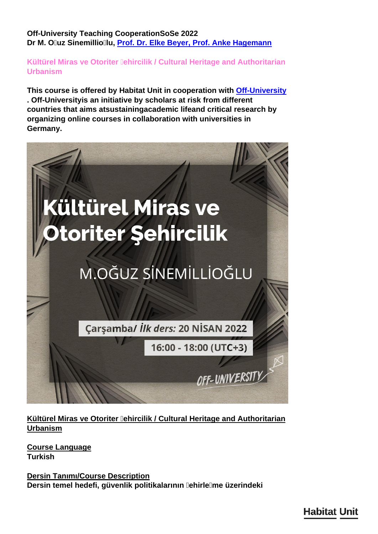**Off-University Teaching CooperationSoSe 2022 Dr M. Oğuz Sinemillioğlu, [Prof. Dr. Elke Beyer](/en/team/elke-beyer/)[,](/en/team/hassan-elmouelhi/) [Prof. Anke Hagemann](/en/team/anke-hagemann/)**

**Kültürel Miras ve Otoriter Jehircilik / Cultural Heritage and Authoritarian Urbanism** 

**This course is offered by Habitat Unit in cooperation with [Off-University](https://off-university.com/en-US/page/about-us) . Off-Universityis an initiative by scholars at risk from different countries that aims atsustainingacademic lifeand critical research by organizing online courses in collaboration with universities in Germany.**



**Kültürel Miras ve Otoriter Jehircilik / Cultural Heritage and Authoritarian Urbanism**

**Course Language Turkish**

**Dersin Tanımı/Course Description** Dersin temel hedefi, güvenlik politikalarının **DehirleDme üzerindeki**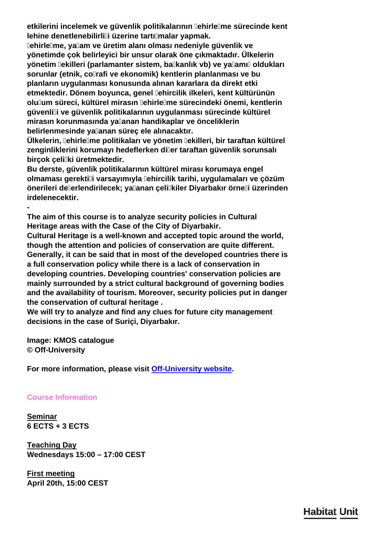**etkilerini incelemek ve güvenlik politikalarının DehirleDme sürecinde kent** lehine denetlenebilirlili üzerine tartılmalar yapmak.

**Şehirleşme, yaşam ve üretim alanı olması nedeniyle güvenlik ve yönetimde çok belirleyici bir unsur olarak öne çıkmaktadır. Ülkelerin** yönetim **lekilleri (parlamanter sistem, balkanlık vb)** ve yalamıl oldukları **sorunlar (etnik, coğrafi ve ekonomik) kentlerin planlanması ve bu planların uygulanması konusunda alınan kararlara da direkt etki etmektedir. Dönem boyunca, genel şehircilik ilkeleri, kent kültürünün olulum süreci, kültürel mirasın lehirlelme sürecindeki önemi, kentlerin güvenliği ve güvenlik politikalarının uygulanması sürecinde kültürel mirasın korunmasında yaşanan handikaplar ve önceliklerin** belirlenmesinde ya**lanan sürec ele alınacaktır**.

**Ülkelerin, şehirleşme politikaları ve yönetim şekilleri, bir taraftan kültürel zenginliklerini korumayı hedeflerken diğer taraftan güvenlik sorunsalı birçok çelişki üretmektedir.**

**Bu derste, güvenlik politikalarının kültürel mirası korumaya engel olmaması gerektiği varsayımıyla şehircilik tarihi, uygulamaları ve çözüm önerileri değerlendirilecek; yaşanan çelişkiler Diyarbakır örneği üzerinden irdelenecektir.**

**The aim of this course is to analyze security policies in Cultural Heritage areas with the Case of the City of Diyarbakir.**

**Cultural Heritage is a well-known and accepted topic around the world, though the attention and policies of conservation are quite different. Generally, it can be said that in most of the developed countries there is a full conservation policy while there is a lack of conservation in developing countries. Developing countries' conservation policies are mainly surrounded by a strict cultural background of governing bodies and the availability of tourism. Moreover, security policies put in danger the conservation of cultural heritage .**

**We will try to analyze and find any clues for future city management decisions in the case of Suriçi, Diyarbakır.**

**Image: KMOS catalogue © Off-University**

**-**

**For more information, please visit [Off-University website](https://off-university.com/en-US/Lesson/Detail/commons-and-learning-to-live-together?i=1114).**

**Course Information**

**Seminar 6 ECTS + 3 ECTS**

**Teaching Day Wednesdays 15:00 – 17:00 CEST**

**First meeting April 20th, 15:00 CEST**